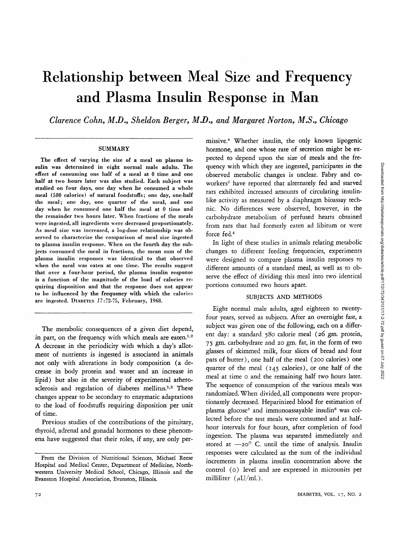# Relationship between Meal Size and Frequency and Plasma Insulin Response in Man

*Clarence Cohn, M.D., Sheldon Berger, M.D., and Margaret Norton, MS,, Chicago*

#### SUMMARY

The effect of varying the size of a meal on plasma insulin was determined in eight normal male adults. The effect of consuming one half of a meal at 0 time and one half at two hours later was also studied. Each subject was studied on four days, one day when he consumed a whole meal (580 calories) of natural foodstuffs; one day, one-half the meal; one day, one quarter of the meal, and one day when he consumed one half the meal at 0 time and the remainder two hours later. When fractions of the meals were ingested, all ingredients were decreased proportionately. As meal size was increased, a log-dose relationship was observed to characterize the comparison of meal size ingested to plasma insulin response. When on the fourth day the subjects consumed the meal in fractions, the mean sum of the plasma insulin responses was identical to that observed when the meal was eaten at one time. The results suggest that over a four-hour period, the plasma insulin response is a function of the magnitude of the load of calories requiring disposition and that the response does not appear to be influenced by the frequency with which the calories are ingested. DIABETES 17:72-75, February, 1968.

The metabolic consequences of a given diet depend, in part, on the frequency with which meals are eaten.<sup>1,2</sup> A decrease in the periodicity with which a day's allotment of nutrients is ingested is associated in animals not only with alterations in body composition (a decrease in body protein and water and an increase in lipid) but also in the severity of experimental atherosclerosis and regulation of diabetes mellitus.<sup>1,3</sup> These changes appear to be secondary to enzymatic adaptations to the load of foodstuffs requiring disposition per unit of time.

Previous studies of the contributions of the pituitary, thyroid, adrenal and gonadal hormones to these phenomena have suggested that their roles, if any, are only per-

missive.4 Whether insulin, the only known lipogenic hormone, and one whose rate of secretion might be expected to depend upon the size of meals and the frequency with which they are ingested, participates in the observed metabolic changes is unclear. Fabry and coworkers<sup>2</sup> have reported that alternately fed and starved rats exhibited increased amounts of circulating insulinlike activity as measured by a diaphragm bioassay technic. No differences were observed, however, in the carbohydrate metabolism of perfused hearts obtained from rats that had formerly eaten ad libitum or were force fed.4

In light of these studies in animals relating metabolic changes to different feeding frequencies, experiments were designed to compare plasma insulin responses to different amounts of a standard meal, as well as to observe the effect of dividing this meal into two identical portions consumed two hours apart.

### SUBJECTS AND METHODS

Eight normal male adults, aged eighteen to twentyfour years, served as subjects. After an overnight fast, a subject was given one of the following, each on a different day: a standard 580 calorie meal (26 gm. protein, 75 gm. carbohydrate and 20 gm. fat, in the form of two glasses of skimmed milk, four slices of bread and four pats of butter), one half of the meal (200 calories) one quarter of the meal (145 calories), or one half of the meal at time o and the remaining half two hours later. The sequence of consumption of the various meals was randomized. When divided, all components were proportionately decreased. Heparinized blood for estimation of plasma glucose<sup>5</sup> and immunoassayable insulin<sup>6</sup> was collected before the test meals were consumed and at halfhour intervals for four hours, after completion of food ingestion. The plasma was separated immediately and stored at  $-20^{\circ}$  C. until the time of analysis. Insulin responses were calculated as the sum of the individual increments in plasma insulin concentration above the control (o) level and are expressed in microunits per milliliter ( $\mu$ U/ml.).

From the Division of Nutritional Sciences, Michael Reese Hospital and Medical Center, Department of Medicine, Northwestern University Medical School, Chicago, Illinois and the Evanston Hospital Association, Evanston, Illinois.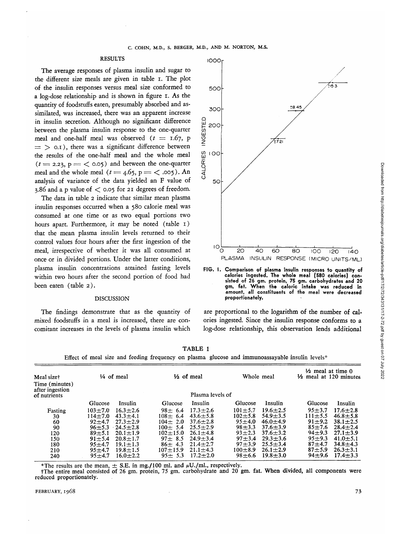## **RESULTS**

The average responses of plasma insulin and sugar to the different size meals are given in table i. The plot of the insulin responses versus meal size conformed to a log-dose relationship and is shown in figure I. As the quantity of foodstuffs eaten, presumably absorbed and assimilated, was increased, there was an apparent increase in insulin secretion. Although no significant difference between the plasma insulin response to the one-quarter meal and one-half meal was observed  $(t = 1.67, p$  $\equiv$   $>$  0.1), there was a significant difference between the results of the one-half meal and the whole meal  $(t = 2.23, p = 6.05)$  and between the one-quarter meal and the whole meal  $(t = 4.65, p = 6.005)$ . An analysis of variance of the data yielded an F value of 3.86 and a p value of  $\lt$  0.05 for 21 degrees of freedom.

The data in table 2 indicate that similar mean plasma insulin responses occurred when a 580 calorie meal was consumed at one time or as two equal portions two hours apart. Furthermore, it may be noted (table 1) that the mean plasma insulin levels returned to their control values four hours after the first ingestion of the meal, irrespective of whether it was all consumed at once or in divided portions. Under the latter conditions, plasma insulin concentrations attained fasting levels within two hours after the second portion of food had been eaten (table 2).

#### DISCUSSION

The findings demonstrate that as the quantity of mixed foodstuffs in a meal is increased, there are concomitant increases in the levels of plasma insulin which



**FIG. I. Comparison of plasma insulin responses to quantity of calories ingested. The whole meal (580 calories) consisted of 26 gm. protein, 75 gm. carbohydrates and 20 gm. fat. When the caloric intake was reduced in amount, all constituents of the meal were decreased proportionately.**

are proportional to the logarithm of the number of calories ingested. Since the insulin response conforms to a log-dose relationship, this observation lends additional

**TABLE 1** Effect of meal size and feeding frequency on plasma glucose and immunoassayable insulin levels\*

| Meal size†<br>Time (minutes)    | $\frac{1}{4}$ of meal | $\frac{1}{2}$ of meal | Whole meal     | $\frac{1}{2}$ meal at time 0<br>$\frac{1}{2}$ meal at 120 minutes |  |
|---------------------------------|-----------------------|-----------------------|----------------|-------------------------------------------------------------------|--|
| after ingestion<br>of nutrients | Plasma levels of      |                       |                |                                                                   |  |
|                                 | Glucose               | Insulin               | Glucose        | Glucose                                                           |  |
|                                 | Insulin               | Glucose               | Insulin        | Insulin                                                           |  |
| Fasting                         | $16.3 + 2.6$          | $17.3 \pm 2.6$        | $19.6 + 2.5$   | $95 + 3.7$                                                        |  |
|                                 | $103 + 7.0$           | $98 \pm 6.4$          | $101 + 5.7$    | $17.6 \pm 2.8$                                                    |  |
| 30                              | $43.3 + 4.1$          | $43.6 + 5.8$          | $54.9 + 3.5$   | $46.8 \pm 5.8$                                                    |  |
|                                 | $114 + 7.0$           | $108 \pm 6.4$         | $102 + 5.8$    | $111 + 5.5$                                                       |  |
| 60                              | $27.3 + 2.9$          | $37.6 \pm 2.8$        | $46.0 + 4.9$   | $38.1 \pm 2.5$                                                    |  |
|                                 | $92 + 4.7$            | $104 \pm 2.0$         | $95 + 4.0$     | $91 + 9.2$                                                        |  |
| 90                              | $96 + 5.3$            | $25.5 + 2.9$          | $98 + 3.3$     | $85 + 7.6$                                                        |  |
|                                 | $-24.5 \pm 2.8$       | $100 \pm 5.4$         | $37.6 \pm 3.9$ | $28.4 + 2.4$                                                      |  |
| 120                             | $20.1 \pm 1.9$        | $26.1 + 4.8$          | $37.6 + 3.2$   | $94 + 9.3$                                                        |  |
|                                 | $89 + 5.1$            | $102 + 15.0$          | $93 + 2.3$     | $27.1 \pm 3.9$                                                    |  |
| 150                             | $20.8 + 1.7$          | $97 + 8.5$            | $97 + 3.4$     | $95 + 9.3$                                                        |  |
|                                 | $91 + 5.4$            | $24.9 + 3.4$          | $29.3 + 3.6$   | $41.0 + 5.1$                                                      |  |
| 180                             | $19.1 + 1.3$          | $21.4 + 2.7$          | $25.5 + 3.4$   | $87 + 4.7$                                                        |  |
|                                 | $95 + 4.7$            | $86 + 4.3$            | $97 + 3.9$     | $34.8 + 4.3$                                                      |  |
| 210                             | $19.8 + 1.5$          | $21.1 + 4.3$          | $100 + 8.9$    | $87 + 5.9$                                                        |  |
|                                 | $95 + 4.7$            | $107 + 15.9$          | $26.1 + 2.9$   | $26.3 + 3.1$                                                      |  |
| 240                             | $16.0 + 2.2$          | $17.2 + 2.0$          | $19.8 + 3.0$   | $17.4 \pm 3.3$                                                    |  |
|                                 | $95 + 4.7$            | $95 \pm 5.3$          | $98 + 6.6$     | $94 + 9.6$                                                        |  |

\*The results are the mean,  $\pm$  S.E. in mg./100 ml. and  $\mu$ U./ml., respectively.<br>†The entire meal consisted of 26 gm. protein, 75 gm. carbohydrate and 20 gm. fat. When divided, all components were reduced proportionately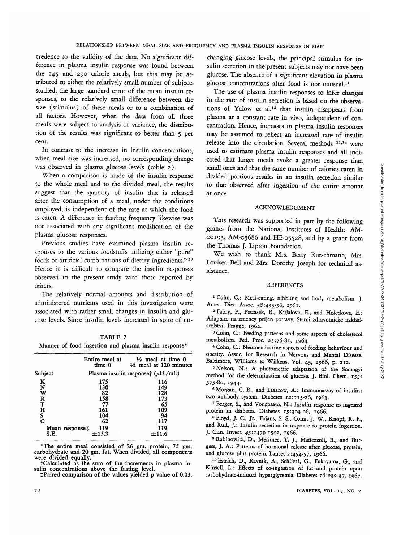credence to the validity of the data. No significant difference in plasma insulin response was found between the 145 and 290 calorie meals, but this may be attributed to either the relatively small number of subjects studied, the large standard error of the mean insulin responses, to the relatively small difference between the size (stimulus) of these meals or to a combination of all factors. However, when the data from all three meals were subject to analysis of variance, the distribution of the results was significant to better than 5 per cent.

In contrast to the increase in insulin concentrations, when meal size was increased, no corresponding change was observed in plasma glucose levels (table 2).

When a comparison is made of the insulin response to the whole meal and to the divided meal, the results suggest that the quantity of insulin that is released after the consumption of a meal, under the conditions employed, is independent of the rate at which the food is eaten. A difference in feeding frequency likewise was not associated with any significant modification of the plasma glucose responses.

Previous studies have examined plasma insulin responses to the various foodstuffs utilizing either "pure" foods or artificial combinations of dietary ingredients.<sup>7-10</sup> Hence it is difficult to compare the insulin responses observed in the present study with those reported by others.

The relatively normal amounts and distribution of administered nutrients used in this investigation were associated with rather small changes in insulin and glucose levels. Since insulin levels increased in spite of un-

TABLE 2 Manner of food ingestion and plasma insulin response\*

|                                      | Entire meal at<br>time 0                                                               | $\frac{1}{2}$ meal at time 0<br>$\frac{1}{2}$ meal at 120 minutes |  |  |
|--------------------------------------|----------------------------------------------------------------------------------------|-------------------------------------------------------------------|--|--|
| Subject                              |                                                                                        | Plasma insulin responset $(\mu U./ml.)$                           |  |  |
| K<br>N<br>W<br>R<br>T<br>н<br>S<br>C | 175<br>130<br>82<br>158<br>77<br>161<br>104<br>62<br>Mean response <sup>†</sup><br>119 | 116<br>149<br>128<br>173<br>65<br>109<br>94<br>117<br>119         |  |  |
| S.E.                                 | $+15.3$                                                                                | $+11.6$                                                           |  |  |

\*The entire meal consisted of 26 gm. protein, 75 gm. carbohydrate and 20 gm. fat. When divided, all components

 $\ddot{\text{r}}$ Calculated as the sum of the increments in plasma in-<br>sulin concentrations above the fasting level.<br> $\ddot{\text{r}}$ Paired comparison of the values yielded p value of 0.03.

changing glucose levels, the principal stimulus for insulin secretion in the present subjects may not have been glucose. The absence of a significant elevation in plasma glucose concentrations after food is not unusual.11

The use of plasma insulin responses to infer changes in the rate of insulin secretion is based on the observations of Yalow et al.<sup>12</sup> that insulin disappears from plasma at a constant rate in vivo, independent of concentration. Hence, increases in plasma insulin responses may be assumed to reflect an increased rate of insulin release into the circulation. Several methods 13,14 were used to estimate plasma insulin responses and all indicated that larger meals evoke a greater response than small ones and that the same number of calories eaten in divided portions results in an insulin secretion similar to that observed after ingestion of the entire amount at once.

## ACKNOWLEDGMENT

This research was supported in part by the following grants from the National Institutes of Health: AM-00193, AM-05686 and HE-05528, and by a grant from the Thomas J. Lipton Foundation.

We wish to thank Mrs. Betty Rutschmann, Mrs. Louisea Bell and Mrs. Dorothy Joseph for technical assistance.

## REFERENCES

<sup>1</sup> Cohn, C.: Meal-eating, nibbling and body metabolism. J.<br>Amer. Diet. Assoc. 38:433-36, 1961.<br><sup>2</sup> February B. Petresek, B. Kuislama E. and Uklasher. P.

Fabry, P., Petrasek, R., Kujalova, E., and Holeckova, E.: Adaptace na zmeney prijen potravy. Statni zdravotnicke naklad atelstvi. Prague, 1962.

3 Cohn, C.: Feeding patterns and some aspects of cholesterol metabolism. Fed. Proc. 23:76-81, 1964. <sup>4</sup>

<sup>4</sup> Cohn, C.: Neuroendocrine aspects of feeding behaviour and obesity. Assoc. for Research in Nervous and Mental Disease. Baltimore, Williams & Wilkens, Vol. 43, 1966, p. 212.

5 Nelson, N.: A photometric adaptation of the Somogyi method for the determination of glucose. J. Biol. Chem. 153: 375-80, 1944.

6 Morgan, C. R., and Lazarow, A.: Immunoassay of insulin: two antibody system. Diabetes 12:115-26, 1963.

 Berger, S., and Vongaraya, N.: Insulin response to ingested protein in diabetes. Diabetes 15:303-06, 1966.

 Floyd, J. C, Jr., Fajans, S. S., Conn, J. W., Knopf, R. F., and Rull, J.: Insulin secretion in response to protein ingestion. J. Clin. Invest. 45:1479-1502, 1966.

<sup>9</sup> Rabinowitz, D., Merimee, T. J., Maffezzoli, R., and Burgess, J. A.: Patterns of hormonal release after glucose, protein, and glucose plus protein. Lancet 2:454-57, 1966.

10 Estrich, D., Ravnik, A., Schlierf, G., Fukayama, G., and Kinsell, L.: Effects of co-ingestion of fat and protein upon carbohydrate-induced hyperglycemia. Diabetes 16:232-37, 1967.